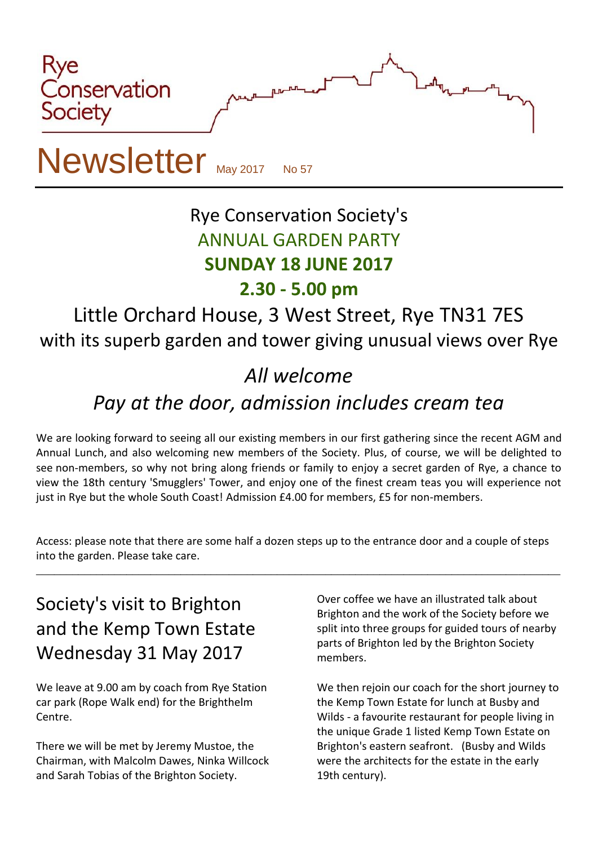

# Rye Conservation Society's ANNUAL GARDEN PARTY **SUNDAY 18 JUNE 2017**

#### **2.30 - 5.00 pm**

### Little Orchard House, 3 West Street, Rye TN31 7ES with its superb garden and tower giving unusual views over Rye

# *All welcome*

## *Pay at the door, admission includes cream tea*

We are looking forward to seeing all our existing members in our first gathering since the recent AGM and Annual Lunch, and also welcoming new members of the Society. Plus, of course, we will be delighted to see non-members, so why not bring along friends or family to enjoy a secret garden of Rye, a chance to view the 18th century 'Smugglers' Tower, and enjoy one of the finest cream teas you will experience not just in Rye but the whole South Coast! Admission £4.00 for members, £5 for non-members.

Access: please note that there are some half a dozen steps up to the entrance door and a couple of steps into the garden. Please take care.

\_\_\_\_\_\_\_\_\_\_\_\_\_\_\_\_\_\_\_\_\_\_\_\_\_\_\_\_\_\_\_\_\_\_\_\_\_\_\_\_\_\_\_\_\_\_\_\_\_\_\_\_\_\_\_\_\_\_\_\_\_\_\_\_\_\_\_\_\_\_\_\_\_\_\_\_\_\_\_\_\_\_\_\_\_\_\_

### Society's visit to Brighton and the Kemp Town Estate Wednesday 31 May 2017

We leave at 9.00 am by coach from Rye Station car park (Rope Walk end) for the Brighthelm Centre.

There we will be met by Jeremy Mustoe, the Chairman, with Malcolm Dawes, Ninka Willcock and Sarah Tobias of the Brighton Society.

Over coffee we have an illustrated talk about Brighton and the work of the Society before we split into three groups for guided tours of nearby parts of Brighton led by the Brighton Society members.

We then rejoin our coach for the short journey to the Kemp Town Estate for lunch at Busby and Wilds - a favourite restaurant for people living in the unique Grade 1 listed Kemp Town Estate on Brighton's eastern seafront. (Busby and Wilds were the architects for the estate in the early 19th century).